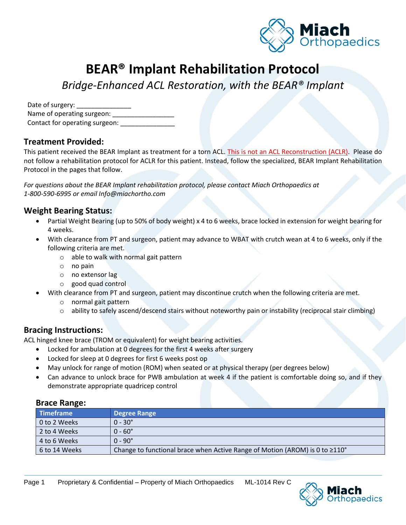

# **BEAR® Implant Rehabilitation Protocol**

*Bridge-Enhanced ACL Restoration, with the BEAR® Implant*

| Date of surgery:               |
|--------------------------------|
| Name of operating surgeon:     |
| Contact for operating surgeon: |

#### **Treatment Provided:**

This patient received the BEAR Implant as treatment for a torn ACL. This is not an ACL Reconstruction (ACLR). Please do not follow a rehabilitation protocol for ACLR for this patient. Instead, follow the specialized, BEAR Implant Rehabilitation Protocol in the pages that follow.

*For questions about the BEAR Implant rehabilitation protocol, please contact Miach Orthopaedics at 1-800-590-6995 or email Info@miachortho.com*

#### **Weight Bearing Status:**

- Partial Weight Bearing (up to 50% of body weight) x 4 to 6 weeks, brace locked in extension for weight bearing for 4 weeks.
- With clearance from PT and surgeon, patient may advance to WBAT with crutch wean at 4 to 6 weeks, only if the following criteria are met.
	- o able to walk with normal gait pattern
	- o no pain
	- o no extensor lag
	- o good quad control
- With clearance from PT and surgeon, patient may discontinue crutch when the following criteria are met.
	- o normal gait pattern
	- $\circ$  ability to safely ascend/descend stairs without noteworthy pain or instability (reciprocal stair climbing)

#### **Bracing Instructions:**

ACL hinged knee brace (TROM or equivalent) for weight bearing activities.

- Locked for ambulation at 0 degrees for the first 4 weeks after surgery
- Locked for sleep at 0 degrees for first 6 weeks post op
- May unlock for range of motion (ROM) when seated or at physical therapy (per degrees below)
- Can advance to unlock brace for PWB ambulation at week 4 if the patient is comfortable doing so, and if they demonstrate appropriate quadricep control

#### **Brace Range:**

| Timeframe     | <b>Degree Range</b>                                                                      |  |
|---------------|------------------------------------------------------------------------------------------|--|
| 0 to 2 Weeks  | $0 - 30^{\circ}$                                                                         |  |
| 2 to 4 Weeks  | $0 - 60^{\circ}$                                                                         |  |
| 4 to 6 Weeks  | $0 - 90^\circ$                                                                           |  |
| 6 to 14 Weeks | Change to functional brace when Active Range of Motion (AROM) is 0 to $\geq 110^{\circ}$ |  |

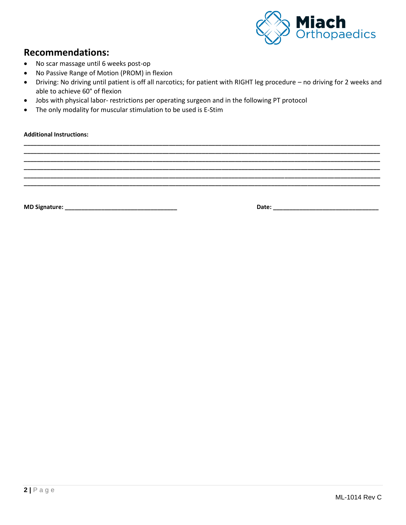

### **Recommendations:**

- No scar massage until 6 weeks post-op
- No Passive Range of Motion (PROM) in flexion
- Driving: No driving until patient is off all narcotics; for patient with RIGHT leg procedure no driving for 2 weeks and able to achieve 60° of flexion

**\_\_\_\_\_\_\_\_\_\_\_\_\_\_\_\_\_\_\_\_\_\_\_\_\_\_\_\_\_\_\_\_\_\_\_\_\_\_\_\_\_\_\_\_\_\_\_\_\_\_\_\_\_\_\_\_\_\_\_\_\_\_\_\_\_\_\_\_\_\_\_\_\_\_\_\_\_\_\_\_\_\_\_\_\_\_\_\_\_\_\_\_\_\_\_\_\_\_\_\_\_\_\_\_\_\_\_\_ \_\_\_\_\_\_\_\_\_\_\_\_\_\_\_\_\_\_\_\_\_\_\_\_\_\_\_\_\_\_\_\_\_\_\_\_\_\_\_\_\_\_\_\_\_\_\_\_\_\_\_\_\_\_\_\_\_\_\_\_\_\_\_\_\_\_\_\_\_\_\_\_\_\_\_\_\_\_\_\_\_\_\_\_\_\_\_\_\_\_\_\_\_\_\_\_\_\_\_\_\_\_\_\_\_\_\_\_ \_\_\_\_\_\_\_\_\_\_\_\_\_\_\_\_\_\_\_\_\_\_\_\_\_\_\_\_\_\_\_\_\_\_\_\_\_\_\_\_\_\_\_\_\_\_\_\_\_\_\_\_\_\_\_\_\_\_\_\_\_\_\_\_\_\_\_\_\_\_\_\_\_\_\_\_\_\_\_\_\_\_\_\_\_\_\_\_\_\_\_\_\_\_\_\_\_\_\_\_\_\_\_\_\_\_\_\_ \_\_\_\_\_\_\_\_\_\_\_\_\_\_\_\_\_\_\_\_\_\_\_\_\_\_\_\_\_\_\_\_\_\_\_\_\_\_\_\_\_\_\_\_\_\_\_\_\_\_\_\_\_\_\_\_\_\_\_\_\_\_\_\_\_\_\_\_\_\_\_\_\_\_\_\_\_\_\_\_\_\_\_\_\_\_\_\_\_\_\_\_\_\_\_\_\_\_\_\_\_\_\_\_\_\_\_\_ \_\_\_\_\_\_\_\_\_\_\_\_\_\_\_\_\_\_\_\_\_\_\_\_\_\_\_\_\_\_\_\_\_\_\_\_\_\_\_\_\_\_\_\_\_\_\_\_\_\_\_\_\_\_\_\_\_\_\_\_\_\_\_\_\_\_\_\_\_\_\_\_\_\_\_\_\_\_\_\_\_\_\_\_\_\_\_\_\_\_\_\_\_\_\_\_\_\_\_\_\_\_\_\_\_\_\_\_ \_\_\_\_\_\_\_\_\_\_\_\_\_\_\_\_\_\_\_\_\_\_\_\_\_\_\_\_\_\_\_\_\_\_\_\_\_\_\_\_\_\_\_\_\_\_\_\_\_\_\_\_\_\_\_\_\_\_\_\_\_\_\_\_\_\_\_\_\_\_\_\_\_\_\_\_\_\_\_\_\_\_\_\_\_\_\_\_\_\_\_\_\_\_\_\_\_\_\_\_\_\_\_\_\_\_\_\_**

- Jobs with physical labor- restrictions per operating surgeon and in the following PT protocol
- The only modality for muscular stimulation to be used is E-Stim

**Additional Instructions:**

**MD Signature: \_\_\_\_\_\_\_\_\_\_\_\_\_\_\_\_\_\_\_\_\_\_\_\_\_\_\_\_\_\_\_\_\_\_ Date: \_\_\_\_\_\_\_\_\_\_\_\_\_\_\_\_\_\_\_\_\_\_\_\_\_\_\_\_\_\_\_\_**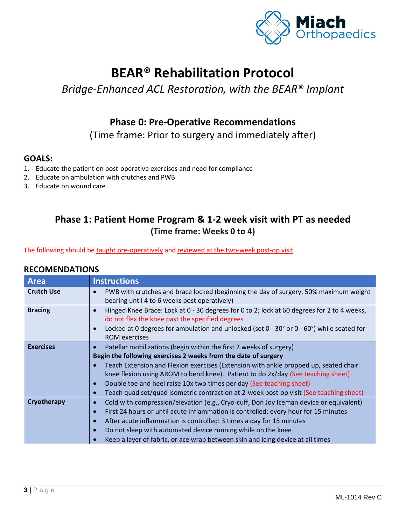

## **BEAR® Rehabilitation Protocol**

## *Bridge-Enhanced ACL Restoration, with the BEAR® Implant*

### **Phase 0: Pre-Operative Recommendations**

(Time frame: Prior to surgery and immediately after)

#### **GOALS:**

- 1. Educate the patient on post-operative exercises and need for compliance
- 2. Educate on ambulation with crutches and PWB
- 3. Educate on wound care

### **Phase 1: Patient Home Program & 1-2 week visit with PT as needed (Time frame: Weeks 0 to 4)**

The following should be taught pre-operatively and reviewed at the two-week post-op visit.

| <b>Area</b>       |  | <b>Instructions</b> |
|-------------------|--|---------------------|
| <b>Crutch Use</b> |  | PWB with crutch     |
|                   |  | bearing until 4 to  |

| <b>Area</b>       | <b>Instructions</b>                                                                                                                                                                                                                                                                                                                                                                                                                                                                |
|-------------------|------------------------------------------------------------------------------------------------------------------------------------------------------------------------------------------------------------------------------------------------------------------------------------------------------------------------------------------------------------------------------------------------------------------------------------------------------------------------------------|
| <b>Crutch Use</b> | PWB with crutches and brace locked (beginning the day of surgery, 50% maximum weight<br>bearing until 4 to 6 weeks post operatively)                                                                                                                                                                                                                                                                                                                                               |
| <b>Bracing</b>    | Hinged Knee Brace: Lock at 0 - 30 degrees for 0 to 2; lock at 60 degrees for 2 to 4 weeks,<br>do not flex the knee past the specified degrees<br>Locked at 0 degrees for ambulation and unlocked (set $0 - 30^{\circ}$ or $0 - 60^{\circ}$ ) while seated for<br><b>ROM</b> exercises                                                                                                                                                                                              |
| <b>Exercises</b>  | Patellar mobilizations (begin within the first 2 weeks of surgery)<br>Begin the following exercises 2 weeks from the date of surgery<br>Teach Extension and Flexion exercises (Extension with ankle propped up, seated chair<br>knee flexion using AROM to bend knee). Patient to do 2x/day (See teaching sheet)<br>Double toe and heel raise 10x two times per day (See teaching sheet)<br>Teach quad set/quad isometric contraction at 2-week post-op visit (See teaching sheet) |
| Cryotherapy       | Cold with compression/elevation (e.g., Cryo-cuff, Don Joy Iceman device or equivalent)<br>First 24 hours or until acute inflammation is controlled: every hour for 15 minutes<br>After acute inflammation is controlled: 3 times a day for 15 minutes<br>Do not sleep with automated device running while on the knee<br>Keep a layer of fabric, or ace wrap between skin and icing device at all times                                                                            |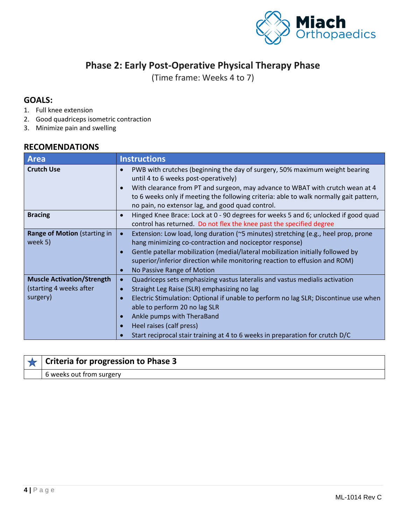

### **Phase 2: Early Post-Operative Physical Therapy Phase**

(Time frame: Weeks 4 to 7)

#### **GOALS:**

- 1. Full knee extension
- 2. Good quadriceps isometric contraction
- 3. Minimize pain and swelling

#### **RECOMENDATIONS**

| Area                                                                     | <b>Instructions</b>                                                                                                                                                                                                                                                                                                                                                                                                                   |
|--------------------------------------------------------------------------|---------------------------------------------------------------------------------------------------------------------------------------------------------------------------------------------------------------------------------------------------------------------------------------------------------------------------------------------------------------------------------------------------------------------------------------|
| <b>Crutch Use</b>                                                        | PWB with crutches (beginning the day of surgery, 50% maximum weight bearing<br>$\bullet$<br>until 4 to 6 weeks post-operatively)<br>With clearance from PT and surgeon, may advance to WBAT with crutch wean at 4<br>$\bullet$<br>to 6 weeks only if meeting the following criteria: able to walk normally gait pattern,<br>no pain, no extensor lag, and good quad control.                                                          |
| <b>Bracing</b>                                                           | Hinged Knee Brace: Lock at 0 - 90 degrees for weeks 5 and 6; unlocked if good quad<br>$\bullet$<br>control has returned. Do not flex the knee past the specified degree                                                                                                                                                                                                                                                               |
| Range of Motion (starting in<br>week 5)                                  | Extension: Low load, long duration (~5 minutes) stretching (e.g., heel prop, prone<br>$\bullet$<br>hang minimizing co-contraction and nociceptor response)<br>Gentle patellar mobilization (medial/lateral mobilization initially followed by<br>$\bullet$<br>superior/inferior direction while monitoring reaction to effusion and ROM)<br>No Passive Range of Motion<br>$\bullet$                                                   |
| <b>Muscle Activation/Strength</b><br>(starting 4 weeks after<br>surgery) | Quadriceps sets emphasizing vastus lateralis and vastus medialis activation<br>$\bullet$<br>Straight Leg Raise (SLR) emphasizing no lag<br>$\bullet$<br>Electric Stimulation: Optional if unable to perform no lag SLR; Discontinue use when<br>$\bullet$<br>able to perform 20 no lag SLR<br>Ankle pumps with TheraBand<br>Heel raises (calf press)<br>Start reciprocal stair training at 4 to 6 weeks in preparation for crutch D/C |

#### **Criteria for progression to Phase 3** ★

6 weeks out from surgery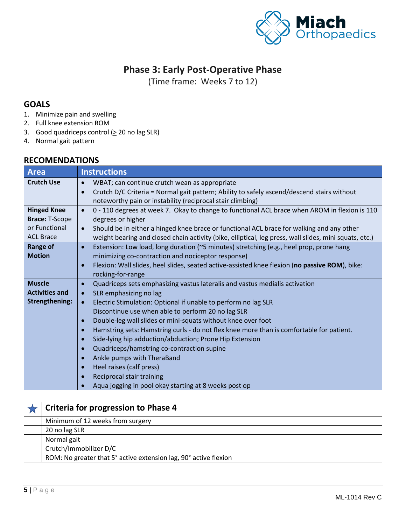

### **Phase 3: Early Post-Operative Phase**

(Time frame: Weeks 7 to 12)

#### **GOALS**

- 1. Minimize pain and swelling
- 2. Full knee extension ROM
- 3. Good quadriceps control  $( \geq 20 \text{ no lag SLR} )$
- 4. Normal gait pattern

| Area                  | <b>Instructions</b>                                                                                                                                                   |
|-----------------------|-----------------------------------------------------------------------------------------------------------------------------------------------------------------------|
| <b>Crutch Use</b>     | WBAT; can continue crutch wean as appropriate<br>$\bullet$<br>Crutch D/C Criteria = Normal gait pattern; Ability to safely ascend/descend stairs without<br>$\bullet$ |
|                       | noteworthy pain or instability (reciprocal stair climbing)                                                                                                            |
| <b>Hinged Knee</b>    | 0 - 110 degrees at week 7. Okay to change to functional ACL brace when AROM in flexion is 110<br>$\bullet$                                                            |
| <b>Brace: T-Scope</b> | degrees or higher                                                                                                                                                     |
| or Functional         | Should be in either a hinged knee brace or functional ACL brace for walking and any other<br>$\bullet$                                                                |
| <b>ACL Brace</b>      | weight bearing and closed chain activity (bike, elliptical, leg press, wall slides, mini squats, etc.)                                                                |
| <b>Range of</b>       | Extension: Low load, long duration (~5 minutes) stretching (e.g., heel prop, prone hang<br>$\bullet$                                                                  |
| <b>Motion</b>         | minimizing co-contraction and nociceptor response)                                                                                                                    |
|                       | Flexion: Wall slides, heel slides, seated active-assisted knee flexion (no passive ROM), bike:<br>$\bullet$                                                           |
|                       | rocking-for-range                                                                                                                                                     |
| <b>Muscle</b>         | Quadriceps sets emphasizing vastus lateralis and vastus medialis activation<br>$\bullet$                                                                              |
| <b>Activities and</b> | SLR emphasizing no lag<br>$\bullet$                                                                                                                                   |
| <b>Strengthening:</b> | Electric Stimulation: Optional if unable to perform no lag SLR<br>$\bullet$                                                                                           |
|                       | Discontinue use when able to perform 20 no lag SLR                                                                                                                    |
|                       | Double-leg wall slides or mini-squats without knee over foot<br>$\bullet$                                                                                             |
|                       | Hamstring sets: Hamstring curls - do not flex knee more than is comfortable for patient.<br>$\bullet$                                                                 |
|                       | Side-lying hip adduction/abduction; Prone Hip Extension<br>$\bullet$                                                                                                  |
|                       | Quadriceps/hamstring co-contraction supine<br>$\bullet$                                                                                                               |
|                       | Ankle pumps with TheraBand<br>$\bullet$                                                                                                                               |
|                       | Heel raises (calf press)<br>$\bullet$                                                                                                                                 |
|                       | Reciprocal stair training<br>$\bullet$                                                                                                                                |
|                       | Aqua jogging in pool okay starting at 8 weeks post op<br>$\bullet$                                                                                                    |

| <b>Criteria for progression to Phase 4</b>                       |
|------------------------------------------------------------------|
| Minimum of 12 weeks from surgery                                 |
| 20 no lag SLR                                                    |
| Normal gait                                                      |
| Crutch/Immobilizer D/C                                           |
| ROM: No greater that 5° active extension lag, 90° active flexion |
|                                                                  |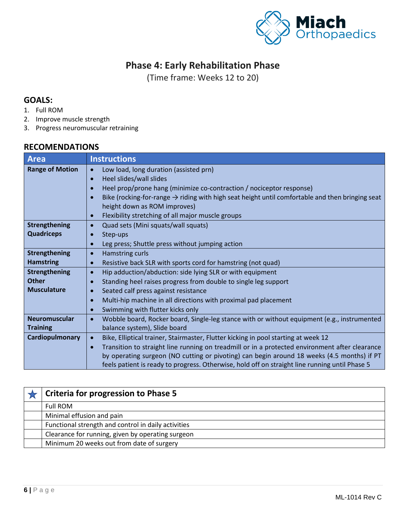

## **Phase 4: Early Rehabilitation Phase**

(Time frame: Weeks 12 to 20)

#### **GOALS:**

- 1. Full ROM
- 2. Improve muscle strength
- 3. Progress neuromuscular retraining

| <b>Area</b>            | <b>Instructions</b>                                                                                         |
|------------------------|-------------------------------------------------------------------------------------------------------------|
| <b>Range of Motion</b> | Low load, long duration (assisted prn)<br>$\bullet$                                                         |
|                        | Heel slides/wall slides<br>$\bullet$                                                                        |
|                        | Heel prop/prone hang (minimize co-contraction / nociceptor response)<br>$\bullet$                           |
|                        | Bike (rocking-for-range $\rightarrow$ riding with high seat height until comfortable and then bringing seat |
|                        | height down as ROM improves)                                                                                |
|                        | Flexibility stretching of all major muscle groups<br>$\bullet$                                              |
| <b>Strengthening</b>   | Quad sets (Mini squats/wall squats)<br>$\bullet$                                                            |
| <b>Quadriceps</b>      | Step-ups                                                                                                    |
|                        | Leg press; Shuttle press without jumping action<br>$\bullet$                                                |
| <b>Strengthening</b>   | Hamstring curls<br>$\bullet$                                                                                |
| <b>Hamstring</b>       | Resistive back SLR with sports cord for hamstring (not quad)<br>$\bullet$                                   |
| <b>Strengthening</b>   | Hip adduction/abduction: side lying SLR or with equipment<br>$\bullet$                                      |
| <b>Other</b>           | Standing heel raises progress from double to single leg support                                             |
| <b>Musculature</b>     | Seated calf press against resistance                                                                        |
|                        | Multi-hip machine in all directions with proximal pad placement<br>$\bullet$                                |
|                        | Swimming with flutter kicks only<br>$\bullet$                                                               |
| <b>Neuromuscular</b>   | Wobble board, Rocker board, Single-leg stance with or without equipment (e.g., instrumented<br>$\bullet$    |
| <b>Training</b>        | balance system), Slide board                                                                                |
| Cardiopulmonary        | Bike, Elliptical trainer, Stairmaster, Flutter kicking in pool starting at week 12<br>$\bullet$             |
|                        | Transition to straight line running on treadmill or in a protected environment after clearance<br>$\bullet$ |
|                        | by operating surgeon (NO cutting or pivoting) can begin around 18 weeks (4.5 months) if PT                  |
|                        | feels patient is ready to progress. Otherwise, hold off on straight line running until Phase 5              |

| <b>Criteria for progression to Phase 5</b>          |
|-----------------------------------------------------|
| <b>Full ROM</b>                                     |
| Minimal effusion and pain                           |
| Functional strength and control in daily activities |
| Clearance for running, given by operating surgeon   |
| Minimum 20 weeks out from date of surgery           |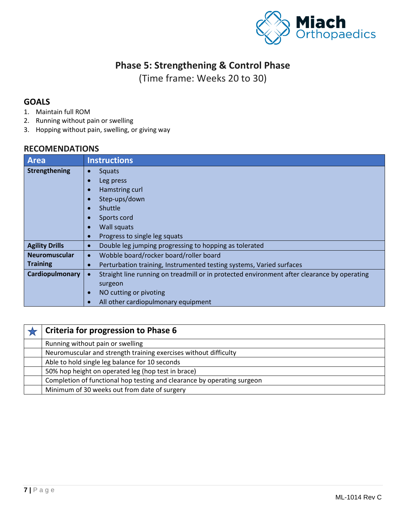

### **Phase 5: Strengthening & Control Phase**

(Time frame: Weeks 20 to 30)

#### **GOALS**

- 1. Maintain full ROM
- 2. Running without pain or swelling
- 3. Hopping without pain, swelling, or giving way

| <b>Area</b>           | <b>Instructions</b>                                                                         |
|-----------------------|---------------------------------------------------------------------------------------------|
| Strengthening         | Squats<br>$\bullet$                                                                         |
|                       | Leg press                                                                                   |
|                       | Hamstring curl                                                                              |
|                       | Step-ups/down                                                                               |
|                       | Shuttle                                                                                     |
|                       | Sports cord                                                                                 |
|                       | Wall squats                                                                                 |
|                       | Progress to single leg squats<br>$\bullet$                                                  |
| <b>Agility Drills</b> | Double leg jumping progressing to hopping as tolerated<br>$\bullet$                         |
| <b>Neuromuscular</b>  | Wobble board/rocker board/roller board<br>$\bullet$                                         |
| <b>Training</b>       | Perturbation training, Instrumented testing systems, Varied surfaces                        |
| Cardiopulmonary       | Straight line running on treadmill or in protected environment after clearance by operating |
|                       | surgeon                                                                                     |
|                       | NO cutting or pivoting<br>$\bullet$                                                         |
|                       | All other cardiopulmonary equipment                                                         |

| Criteria for progression to Phase 6                                     |
|-------------------------------------------------------------------------|
| Running without pain or swelling                                        |
| Neuromuscular and strength training exercises without difficulty        |
| Able to hold single leg balance for 10 seconds                          |
| 50% hop height on operated leg (hop test in brace)                      |
| Completion of functional hop testing and clearance by operating surgeon |
| Minimum of 30 weeks out from date of surgery                            |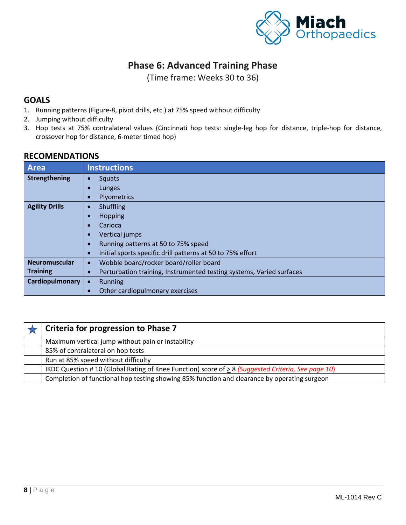

### **Phase 6: Advanced Training Phase**

(Time frame: Weeks 30 to 36)

#### **GOALS**

- 1. Running patterns (Figure-8, pivot drills, etc.) at 75% speed without difficulty
- 2. Jumping without difficulty
- 3. Hop tests at 75% contralateral values (Cincinnati hop tests: single-leg hop for distance, triple-hop for distance, crossover hop for distance, 6-meter timed hop)

| <b>Area</b>           | <b>Instructions</b>                                                               |
|-----------------------|-----------------------------------------------------------------------------------|
| Strengthening         | Squats<br>$\bullet$                                                               |
|                       | Lunges                                                                            |
|                       | Plyometrics<br>$\bullet$                                                          |
| <b>Agility Drills</b> | Shuffling<br>$\bullet$                                                            |
|                       | Hopping                                                                           |
|                       | Carioca                                                                           |
|                       | Vertical jumps<br>$\bullet$                                                       |
|                       | Running patterns at 50 to 75% speed<br>$\bullet$                                  |
|                       | Initial sports specific drill patterns at 50 to 75% effort<br>$\bullet$           |
| <b>Neuromuscular</b>  | Wobble board/rocker board/roller board<br>$\bullet$                               |
| <b>Training</b>       | Perturbation training, Instrumented testing systems, Varied surfaces<br>$\bullet$ |
| Cardiopulmonary       | <b>Running</b>                                                                    |
|                       | Other cardiopulmonary exercises                                                   |

| <b>Criteria for progression to Phase 7</b>                                                       |
|--------------------------------------------------------------------------------------------------|
| Maximum vertical jump without pain or instability                                                |
| 85% of contralateral on hop tests                                                                |
| Run at 85% speed without difficulty                                                              |
| IKDC Question #10 (Global Rating of Knee Function) score of >8 (Suggested Criteria, See page 10) |
| Completion of functional hop testing showing 85% function and clearance by operating surgeon     |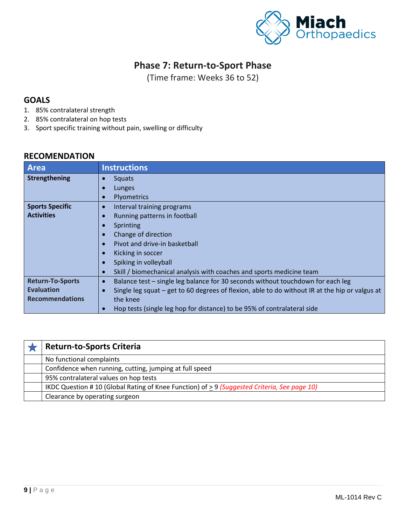

### **Phase 7: Return-to-Sport Phase**

(Time frame: Weeks 36 to 52)

#### **GOALS**

- 1. 85% contralateral strength
- 2. 85% contralateral on hop tests
- 3. Sport specific training without pain, swelling or difficulty

| <b>Area</b>             | <b>Instructions</b>                                                                                   |
|-------------------------|-------------------------------------------------------------------------------------------------------|
| Strengthening           | <b>Squats</b><br>$\bullet$                                                                            |
|                         | Lunges                                                                                                |
|                         | Plyometrics<br>e                                                                                      |
| <b>Sports Specific</b>  | Interval training programs<br>$\bullet$                                                               |
| <b>Activities</b>       | Running patterns in football                                                                          |
|                         | Sprinting                                                                                             |
|                         | Change of direction                                                                                   |
|                         | Pivot and drive-in basketball<br>$\bullet$                                                            |
|                         | Kicking in soccer                                                                                     |
|                         | Spiking in volleyball                                                                                 |
|                         | Skill / biomechanical analysis with coaches and sports medicine team<br>$\bullet$                     |
| <b>Return-To-Sports</b> | Balance test - single leg balance for 30 seconds without touchdown for each leg<br>$\bullet$          |
| <b>Evaluation</b>       | Single leg squat $-$ get to 60 degrees of flexion, able to do without IR at the hip or valgus at<br>C |
| <b>Recommendations</b>  | the knee                                                                                              |
|                         | Hop tests (single leg hop for distance) to be 95% of contralateral side<br>$\bullet$                  |

| <b>Return-to-Sports Criteria</b>                                                                 |
|--------------------------------------------------------------------------------------------------|
| No functional complaints                                                                         |
| Confidence when running, cutting, jumping at full speed                                          |
| 95% contralateral values on hop tests                                                            |
| IKDC Question #10 (Global Rating of Knee Function) of $\geq$ 9 (Suggested Criteria, See page 10) |
| Clearance by operating surgeon                                                                   |